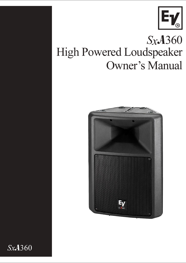

# $SxA360$ High Powered Loudspeaker **Owner's Manual**



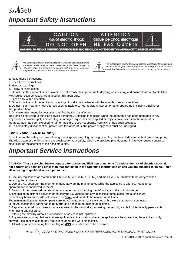## Sx.A360 **Important Safety Instructions**





The lightning flash with arrowhead symbol, within an equilateral triangle is intended to alert the user to the presence of uninsulated "dangerous voltage" within the product's enclosure that may be of sufficient magnitude to constitute a risk of electric shock to persons.



The exclamation point within an equilateral triangle is intended to alert the user to the presence of important operating and maintenance (servicing) instructions in the literature accompanying the appliance.

- 1. Read these instructions.
- 2. Keep these instructions.
- 3. Heed all warnings.
- 4. Follow all instructions.

5. Do not use this apparatus near water. Do not expose this apparatus to dripping or splashing and ensure that no objects filled with liquids, such as vases, are placed on this apparatus.

6. Clean only with a dry cloth.

7. Do not block any of the ventilation openings. Install in accordance with the manufacturers instructions.

8. Do not install near any heat sources such as radiators, heat registers, stoves, or other apparatus (including amplifiers) that produce heat.

9. Only use attachments/accessories specified by the manufacturer.

10. Refer all servicing to qualified service personnel. Servicing is required when the apparatus has been damaged in any way, such as power-supply cord or plug is damaged, liquid has been spilled or objects have fallen into the apparatus, the apparatus has been exposed to rain or moisture, does not operate normally, or has been dropped.

11.To completely disconnect AC power from this apparatus, the power supply cord must be unplugged.

#### **For US and CANADA only:**

Do not defeat the safety purpose of the grounding-type plug. A grounding type plug has two blades and a third grounding prong. The wide blade or the third prong are provided for your safety. When the provided plug does not fit into your outlet, consult an electrican for replacement of the absolete outlet.

#### **Important Service Instructions**

**CAUTION: These servicing instructions are for use by qualified personnel only. To reduce the risk of electric shock, do not perform any servicing other than that contained in the Operating Instructions unless you are qualified to do so. Refer all servicing to qualified service personnel.**

1. Security regulations as stated in the EN 60065 (VDE 0860 / IEC 65) and the CSA E65 - 94 have to be obeyed when servicing the appliance.

2. Use of a AC separator transformer is mandatory during maintenance while the appliance is opened, needs to be operated and is connected to the AC.

3. Switch off the power before retrofitting any extensions, changing the AC voltage or the output voltage.

4. The minimum distance between parts carrying AC voltage and any accessible metal piece (metal enclosure),

respectively between the AC poles has to be **3 mm** and needs to be minded at all times.

The minimum distance between parts carrying AC voltage and any switches or breakers that are not connected to the AC (secondary parts) has to be **6 mm** and needs to be minded at all times.

5. Replacing special components that are marked in the circuit diagram using the security symbol (Note) is only permissible when using original parts.

6. Altering the circuitry without prior consent or advice is not legitimate.

7. Any work security regulations that are applicable at the location where the appliance is being serviced have to be strictly obeyed. This applies also to any regulations about the work place itself.

8. All instructions concerning the handling of **MOS** - circuits have to be observed.

*Note: /* I\ SAFETY COMPONENT (HAS TO BE REPLACED WITH ORIGINAL PART ONLY)

ELECTRO-VOICE<sup>®</sup> SxA360 Owner's Manual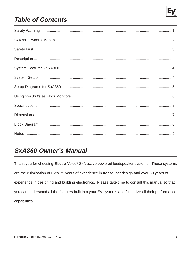

### **Table of Contents**

#### **SxA360 Owner's Manual**

Thank you for choosing Electro-Voice® SxA active powered loudspeaker systems. These systems are the culmination of EV's 75 years of experience in transducer design and over 50 years of experience in designing and building electronics. Please take time to consult this manual so that you can understand all the features built into your EV systems and full utilize all their performance capabilities.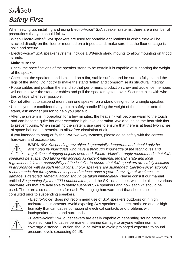# Sx.A360 **Safety First**

When setting up, installing and using Electro-Voice® SxA speaker systems, there are a number of precautions that you should follow:

- **·** When Electro-Voice® SxA speakers are used for portable applications in which they will be stacked directly on the floor or mounted on a tripod stand, make sure that the floor or stage is solid and secure.
- **·** Electro-Voice® SxA speaker systems include 1 3/8-inch stand mounts to allow mounting on tripod stands.

#### **Make sure to:**

- **·** Check the specifications of the speaker stand to be certain it is capable of supporting the weight of the speaker.
- **·** Check that the speaker stand is placed on a flat, stable surface and be sure to fully extend the legs of the stand. Do not try to make the stand "taller" and compromise its structural integrity.
- **·** Route cables and position the stand so that performers, production crew and audience members will not trip over the stand or cables and pull the speaker system over. Secure cables with wire ties or tape whenever possible.
- **·** Do not attempt to suspend more than one speaker on a stand designed for a single speaker.
- **·** Unless you are confident that you can safely handle lifting the weight of the speaker onto the stand, ask another person to help you place it.
- **·** After the system is in operation for a few minutes, the heat sink will become warm to the touch and can become quite hot after extended high-level operation. Avoid touching the heat sink fins to prevent burns. When installing the system, use care to ensure that there is at least two inches of space behind the heatsink to allow free circulation of air.
- **·** If you intended to hang or fly the SxA two-way systems, please do so safely with the correct hardware and accessories.

**WARNING:** Suspending any object is potentially dangerous and should only be attempted by individuals who have a thorough knowledge of the techniques and regulations of rigging objects overhead. Electro-Voice® strongly recommends that SxA speakers be suspended taking into account all current national, federal, state and local regulations. It is the responsibility of the installer to ensure that SxA speakers are safely installed in accordance with all such regulations. If SxA speakers are suspended, Electro-Voice<sup>®</sup> strongly recommends that the system be inspected at least once a year. If any sign of weakness or damage is detected, remedial action should be taken immediately. Please consult our manual entitled Suspending System 200 Loudspeakers, and the SK1 data sheet, which details the various hardware kits that are available to safely suspend SxA speakers and how each kit should be used. There are also data sheets for each EV hanging hardware part that should also be consulted prior to suspending speakers.



**·** Electro-Voice® does not recommend use of SxA speakers outdoors or in high moisture environments. Avoid exposing SxA speakers to direct moisture and or high humidity that can cause corrosion of electrical contacts and problems with loudspeaker cones and surrounds.



**·** Electro-Voice® SxA loudspeakers are easily capable of generating sound pressure levels sufficient to cause permanent hearing damage to anyone within normal coverage distance. Caution should be taken to avoid prolonged exposure to sound pressure levels exceeding 90 dB.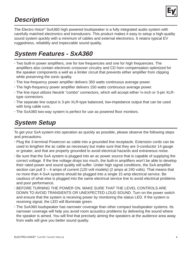

#### **Description**

The Electro-Voice® SxA360 high powered loudspeaker is a fully integrated audio system with carefully matched electronics and transducers. This product makes it easy to setup a high-quality sound system quickly with a minimum of cables and external electronics. It retains typical EV ruggedness, reliability and impeccable sound quality.

### **System Features - SxA360**

- **·** Two built-in power amplifiers, one for low frequencies and one for high frequencies. The amplifiers also contain electronic crossover circuitry and CD horn compensation optimized for the speaker components a well as a limiter circuit that prevents either amplifier from clipping while preserving the sonic quality.
- **·** The low-frequency power amplifier delivers 350 watts continuous average power.
- **·** The high-frequency power amplifier delivers 150 watts continuous average power.
- **·** The line input utilizes Neutrik "combo" connectors, which will accept either ¼-inch or 3-pin XLRtype connectors.
- **·** The separate line output is 3-pin XLR-type balanced, low-impedance output that can be used with long cable runs.
- **·** The SxA360 two-way system is perfect for use as powered floor monitors.

### **System Setup**

To get your SxA system into operation as quickly as possible, please observe the following steps and precautions.

- **·** Plug the 3-terminal Powercon ac cable into a grounded line receptacle. Extension cords can be used to lengthen the ac cable as necessary but make sure that they are 3-conductor 14 gauge or greater, and that are properly grounded to avoid electrical hazards and extraneous noise.
- **·** Be sure that the SxA system is plugged into an ac power source that is capable of supplying the correct voltage. If the line voltage drops too much, the built-in amplifiers won't be able to develop their rated power and sound quality will suffer. Under high signal conditions, the SxA amplifier section can pull 3 – 4 amps of current (120 volt models) (2 amps at 240 volts). That means that no more than 4-SxA systems should be plugged into a single 15 amp electrical service. Be cautious of what else is plugged into the same electrical service line to avoid electrical problems and poor performance.
- **·** BEFORE TURNING THE POWER ON, MAKE SURE THAT THE LEVEL CONTROLS ARE DOWN TO AVOID TRANSIENTS OR UNEXPECTED LOUD SOUND. Turn on the power switch and ensure that the system is receiving power by monitoring the status LED. If the system is receiving signal, the LED will illuminate green.
- **·** The SxA360 loudspeaker has narrower coverage than other compact loudspeaker systems. Its narrower coverage will help you avoid room acoustics problems by delivering the sound where the speaker is aimed. You will find that precisely aiming the speakers at the audience area away from walls will give you better sound quality.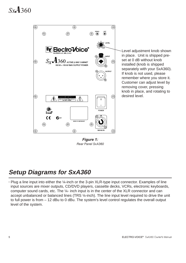Sx.A360



**Figure 1: Rear Panel SxA360** 

#### **Setup Diagrams for SxA360**

**·** Plug a line input into either the ¼-inch or the 3-pin XLR-type input connector. Examples of line input sources are mixer outputs, CD/DVD players, cassette decks, VCRs, electronic keyboards, computer sound cards, etc. The ¼- inch input is in the center of the XLR connector and can accept unbalanced or balanced lines (TRS ¼-inch). The line input level required to drive the unit to full power is from – 12 dBu to 0 dBu. The system's level control regulates the overall output level of the system.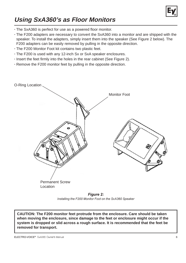

#### **Using SxA360's as Floor Monitors**

- **·** The SxA360 is perfect for use as a powered floor monitor.
- **·** The F200 adapters are necessary to convert the SxA360 into a monitor and are shipped with the speaker. To install the adapters, simply insert them into the speaker (See Figure 2 below). The F200 adapters can be easily removed by pulling in the opposite direction.
- **·** The F200 Monitor Foot kit contains two plastic feet.
- **·** The F200 is used with any 12-inch Sx or SxA speaker enclosures.
- **·** Insert the feet firmly into the holes in the rear cabinet (See Figure 2).
- **·** Remove the F200 monitor feet by pulling in the opposite direction.

O-Ring Location. Monitor Foot Permanent Screw Location



**CAUTION: The F200 monitor feet protrude from the enclosure. Care should be taken when moving the enclosure, since damage to the feet or enclosure might occur if the system is dropped or slid across a rough surface. It is recommended that the feet be removed for transport.**

ELECTRO-VOICE® SxA360 Owner's Man ual de la construction de la construction de la construction de la construction de la construction de la const<br>La construction de la construction de la construction de la construction de la construction de la construction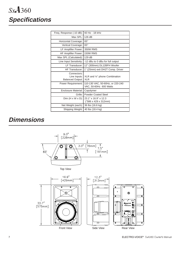# Sx.A360 **Specifications**

| Freq. Response (-10 dB):                               | 60 Hz - 18 kHz                                             |
|--------------------------------------------------------|------------------------------------------------------------|
| Max $SPI:$                                             | 126 dB                                                     |
| Horizontal Coverage:                                   | $65^\circ$                                                 |
| Vertical Coverage:                                     | $65^\circ$                                                 |
| LF Amplifier Power:                                    | 350W RMS                                                   |
| <b>HF Amplifier Power:</b>                             | <b>150W RMS</b>                                            |
| Max SPL (Calculated):                                  | 129 dB                                                     |
| Line Input Sensitivity:                                | -12 dBu to 0 dBu for full output                           |
| I F Transducer:                                        | 12" (300mm) DL12BFH Woofer                                 |
| HF Transducer:                                         | 1" (25mm) exit DH2T Comp. Driver                           |
| Connectors:<br>Line Inputs:<br><b>Balanced Output:</b> | XLR and 1/4" phone Combination<br><b>XLR</b>               |
| Power Requirement:                                     | 110-130 VAC, 50-60Hz, or 220-240<br>VAC, 50-60Hz 600 Watts |
| Enclosure Material:                                    | Copolymer                                                  |
| Grille:                                                | Powder Coated Steel                                        |
| $Dim (H \times W \times D)$ :                          | 23.1" x 16.9" x 12.3<br>("586 x 429 x 312mm)               |
| Net Weight (each):                                     | 36 lbs (16.6 kg)                                           |
| Shipping Weight:                                       | 40 lbs (18.4 kg)                                           |
|                                                        |                                                            |

#### **Dimensions**